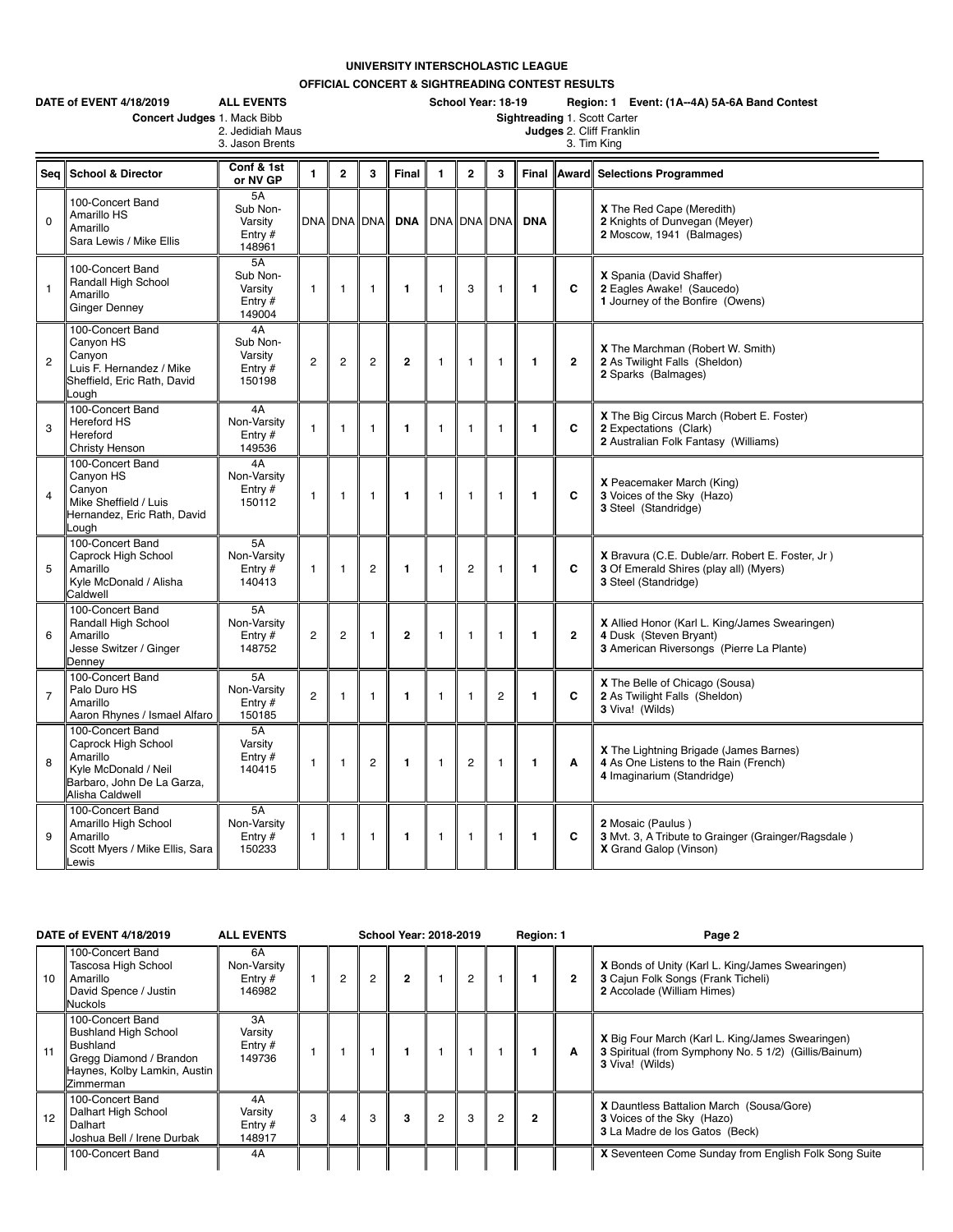## **UNIVERSITY INTERSCHOLASTIC LEAGUE**

**OFFICIAL CONCERT & SIGHTREADING CONTEST RESULTS**

|                | DATE of EVENT 4/18/2019<br><b>ALL EVENTS</b><br>Concert Judges 1. Mack Bibb<br>3. Jason Brents                               | 2. Jedidiah Maus                                 |                |                |                | School Year: 18-19<br>Region: 1 Event: (1A--4A) 5A-6A Band Contest<br>Sightreading 1. Scott Carter<br>Judges 2. Cliff Franklin<br>3. Tim King |              |                |                |              |              |                                                                                                                      |  |
|----------------|------------------------------------------------------------------------------------------------------------------------------|--------------------------------------------------|----------------|----------------|----------------|-----------------------------------------------------------------------------------------------------------------------------------------------|--------------|----------------|----------------|--------------|--------------|----------------------------------------------------------------------------------------------------------------------|--|
|                | Seq School & Director                                                                                                        | Conf & 1st<br>or NV GP                           | $\blacksquare$ | $\overline{2}$ | 3              | Final                                                                                                                                         | $\mathbf{1}$ | $\mathbf{2}$   | 3              | Final        | <b>Award</b> | <b>Selections Programmed</b>                                                                                         |  |
| $\mathbf 0$    | 100-Concert Band<br>Amarillo HS<br>Amarillo<br>Sara Lewis / Mike Ellis                                                       | 5A<br>Sub Non-<br>Varsity<br>Entry $#$<br>148961 |                | DNA DNA DNA    |                | <b>DNA</b>                                                                                                                                    |              | <b>DNA DNA</b> | <b>DNA</b>     | <b>DNA</b>   |              | X The Red Cape (Meredith)<br>2 Knights of Dunvegan (Meyer)<br>2 Moscow, 1941 (Balmages)                              |  |
| $\mathbf{1}$   | 100-Concert Band<br>Randall High School<br>Amarillo<br><b>Ginger Denney</b>                                                  | 5A<br>Sub Non-<br>Varsity<br>Entry $#$<br>149004 | $\mathbf{1}$   | $\mathbf{1}$   | $\mathbf{1}$   | $\mathbf{1}$                                                                                                                                  | $\mathbf{1}$ | 3              | $\mathbf{1}$   | $\mathbf{1}$ | C            | X Spania (David Shaffer)<br>2 Eagles Awake! (Saucedo)<br>1 Journey of the Bonfire (Owens)                            |  |
| $\overline{c}$ | 100-Concert Band<br>Canyon HS<br>Canyon<br>Luis F. Hernandez / Mike<br>Sheffield, Eric Rath, David<br>Lough                  | 4A<br>Sub Non-<br>Varsity<br>Entry $#$<br>150198 | $\overline{c}$ | 2              | $\overline{c}$ | $\overline{2}$                                                                                                                                | $\mathbf{1}$ | $\mathbf{1}$   | $\mathbf{1}$   | $\mathbf{1}$ | $\mathbf{2}$ | X The Marchman (Robert W. Smith)<br>2 As Twilight Falls (Sheldon)<br>2 Sparks (Balmages)                             |  |
| 3              | 100-Concert Band<br><b>Hereford HS</b><br>Hereford<br>Christy Henson                                                         | 4A<br>Non-Varsity<br>Entry $#$<br>149536         | $\mathbf{1}$   | $\mathbf{1}$   | $\mathbf{1}$   | 1                                                                                                                                             | $\mathbf{1}$ | $\mathbf{1}$   | $\mathbf{1}$   | $\mathbf{1}$ | C            | X The Big Circus March (Robert E. Foster)<br>2 Expectations (Clark)<br>2 Australian Folk Fantasy (Williams)          |  |
| $\overline{4}$ | 100-Concert Band<br>Canyon HS<br>Canyon<br>Mike Sheffield / Luis<br>Hernandez, Eric Rath, David<br>Lough                     | 4A<br>Non-Varsity<br>Entry $#$<br>150112         | $\mathbf{1}$   | 1              | $\mathbf{1}$   | $\mathbf{1}$                                                                                                                                  | $\mathbf{1}$ | $\mathbf{1}$   | $\mathbf{1}$   | $\mathbf{1}$ | C            | <b>X</b> Peacemaker March (King)<br>3 Voices of the Sky (Hazo)<br>3 Steel (Standridge)                               |  |
| 5              | 100-Concert Band<br>Caprock High School<br>Amarillo<br>Kyle McDonald / Alisha<br>Caldwell                                    | 5A<br>Non-Varsity<br>Entry $#$<br>140413         | $\mathbf{1}$   | 1              | $\overline{2}$ | $\mathbf{1}$                                                                                                                                  | $\mathbf{1}$ | $\overline{c}$ | $\mathbf{1}$   | $\mathbf{1}$ | C            | X Bravura (C.E. Duble/arr. Robert E. Foster, Jr.)<br>3 Of Emerald Shires (play all) (Myers)<br>3 Steel (Standridge)  |  |
| 6              | 100-Concert Band<br>Randall High School<br>Amarillo<br>Jesse Switzer / Ginger<br>Denney                                      | 5A<br>Non-Varsity<br>Entry $#$<br>148752         | $\overline{c}$ | 2              | $\mathbf{1}$   | $\mathbf{2}$                                                                                                                                  | $\mathbf{1}$ | $\mathbf{1}$   | $\mathbf{1}$   | $\mathbf{1}$ | $\mathbf{2}$ | X Allied Honor (Karl L. King/James Swearingen)<br>4 Dusk (Steven Bryant)<br>3 American Riversongs (Pierre La Plante) |  |
| $\overline{7}$ | 100-Concert Band<br>Palo Duro HS<br>Amarillo<br>Aaron Rhynes / Ismael Alfaro                                                 | 5A<br>Non-Varsity<br>Entry $#$<br>150185         | $\overline{2}$ | $\mathbf{1}$   | $\overline{1}$ | 1                                                                                                                                             | $\mathbf{1}$ | $\mathbf{1}$   | $\overline{2}$ | $\mathbf{1}$ | C            | X The Belle of Chicago (Sousa)<br>2 As Twilight Falls (Sheldon)<br>3 Viva! (Wilds)                                   |  |
| 8              | 100-Concert Band<br>Caprock High School<br>Amarillo<br>Kyle McDonald / Neil<br>Barbaro, John De La Garza,<br>Alisha Caldwell | 5A<br>Varsity<br>Entry #<br>140415               | $\mathbf{1}$   | $\mathbf{1}$   | $\overline{c}$ | $\mathbf{1}$                                                                                                                                  | $\mathbf{1}$ | $\overline{c}$ | $\mathbf{1}$   | $\mathbf{1}$ | A            | X The Lightning Brigade (James Barnes)<br>4 As One Listens to the Rain (French)<br>4 Imaginarium (Standridge)        |  |
| 9              | 100-Concert Band<br>Amarillo High School<br>Amarillo<br>Scott Myers / Mike Ellis, Sara<br>Lewis                              | 5A<br>Non-Varsity<br>Entry $#$<br>150233         | $\mathbf{1}$   | $\overline{1}$ | $\mathbf{1}$   | $\mathbf{1}$                                                                                                                                  | $\mathbf{1}$ | 1              | $\mathbf{1}$   | $\mathbf{1}$ | C            | 2 Mosaic (Paulus)<br>3 Mvt. 3, A Tribute to Grainger (Grainger/Ragsdale)<br>X Grand Galop (Vinson)                   |  |

| DATE of EVENT 4/18/2019 |                                                                                                                                     | <b>ALL EVENTS</b>                        | <b>School Year: 2018-2019</b> |  |                |   |                |                | Region: 1 |   | Page 2 |                                                                                                                              |
|-------------------------|-------------------------------------------------------------------------------------------------------------------------------------|------------------------------------------|-------------------------------|--|----------------|---|----------------|----------------|-----------|---|--------|------------------------------------------------------------------------------------------------------------------------------|
| 10                      | 100-Concert Band<br>Tascosa High School<br>Amarillo<br>David Spence / Justin<br>Nuckols                                             | 6A<br>Non-Varsity<br>Entry $#$<br>146982 |                               |  | $\overline{2}$ | 2 |                | $\overline{2}$ |           |   |        | X Bonds of Unity (Karl L. King/James Swearingen)<br>3 Cajun Folk Songs (Frank Ticheli)<br>2 Accolade (William Himes)         |
| 11                      | 100-Concert Band<br><b>Bushland High School</b><br>Bushland<br>Gregg Diamond / Brandon<br>Haynes, Kolby Lamkin, Austin<br>Zimmerman | 3A<br>Varsity<br>Entry $#$<br>149736     |                               |  |                |   |                |                |           |   | A      | X Big Four March (Karl L. King/James Swearingen)<br>3 Spiritual (from Symphony No. 5 1/2) (Gillis/Bainum)<br>3 Viva! (Wilds) |
| 12                      | 100-Concert Band<br>Dalhart High School<br>Dalhart<br>Joshua Bell / Irene Durbak                                                    | 4A<br>Varsity<br>Entry $#$<br>148917     | 3                             |  | 3              | 3 | $\overline{2}$ | 3              | 2         | 2 |        | X Dauntless Battalion March (Sousa/Gore)<br>3 Voices of the Sky (Hazo)<br>3 La Madre de los Gatos (Beck)                     |
|                         | 100-Concert Band                                                                                                                    | 4A                                       |                               |  |                |   |                |                |           |   |        | X Seventeen Come Sunday from English Folk Song Suite                                                                         |